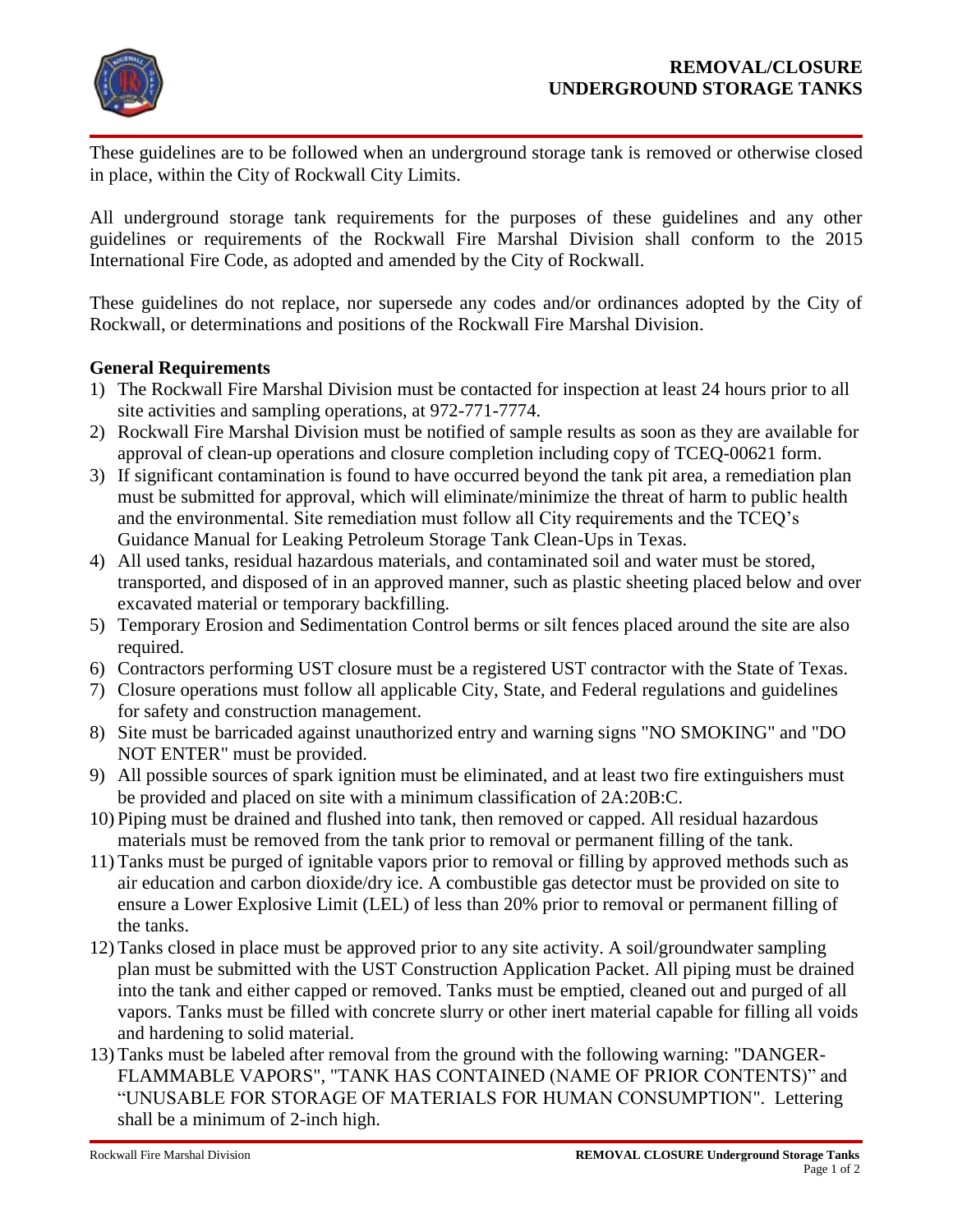

These guidelines are to be followed when an underground storage tank is removed or otherwise closed in place, within the City of Rockwall City Limits.

All underground storage tank requirements for the purposes of these guidelines and any other guidelines or requirements of the Rockwall Fire Marshal Division shall conform to the 2015 International Fire Code, as adopted and amended by the City of Rockwall.

These guidelines do not replace, nor supersede any codes and/or ordinances adopted by the City of Rockwall, or determinations and positions of the Rockwall Fire Marshal Division.

## **General Requirements**

- 1) The Rockwall Fire Marshal Division must be contacted for inspection at least 24 hours prior to all site activities and sampling operations, at 972-771-7774.
- 2) Rockwall Fire Marshal Division must be notified of sample results as soon as they are available for approval of clean-up operations and closure completion including copy of TCEQ-00621 form.
- 3) If significant contamination is found to have occurred beyond the tank pit area, a remediation plan must be submitted for approval, which will eliminate/minimize the threat of harm to public health and the environmental. Site remediation must follow all City requirements and the TCEQ's Guidance Manual for Leaking Petroleum Storage Tank Clean-Ups in Texas.
- 4) All used tanks, residual hazardous materials, and contaminated soil and water must be stored, transported, and disposed of in an approved manner, such as plastic sheeting placed below and over excavated material or temporary backfilling.
- 5) Temporary Erosion and Sedimentation Control berms or silt fences placed around the site are also required.
- 6) Contractors performing UST closure must be a registered UST contractor with the State of Texas.
- 7) Closure operations must follow all applicable City, State, and Federal regulations and guidelines for safety and construction management.
- 8) Site must be barricaded against unauthorized entry and warning signs "NO SMOKING" and "DO NOT ENTER" must be provided.
- 9) All possible sources of spark ignition must be eliminated, and at least two fire extinguishers must be provided and placed on site with a minimum classification of 2A:20B:C.
- 10) Piping must be drained and flushed into tank, then removed or capped. All residual hazardous materials must be removed from the tank prior to removal or permanent filling of the tank.
- 11) Tanks must be purged of ignitable vapors prior to removal or filling by approved methods such as air education and carbon dioxide/dry ice. A combustible gas detector must be provided on site to ensure a Lower Explosive Limit (LEL) of less than 20% prior to removal or permanent filling of the tanks.
- 12) Tanks closed in place must be approved prior to any site activity. A soil/groundwater sampling plan must be submitted with the UST Construction Application Packet. All piping must be drained into the tank and either capped or removed. Tanks must be emptied, cleaned out and purged of all vapors. Tanks must be filled with concrete slurry or other inert material capable for filling all voids and hardening to solid material.
- 13) Tanks must be labeled after removal from the ground with the following warning: "DANGER-FLAMMABLE VAPORS", "TANK HAS CONTAINED (NAME OF PRIOR CONTENTS)" and "UNUSABLE FOR STORAGE OF MATERIALS FOR HUMAN CONSUMPTION". Lettering shall be a minimum of 2-inch high.